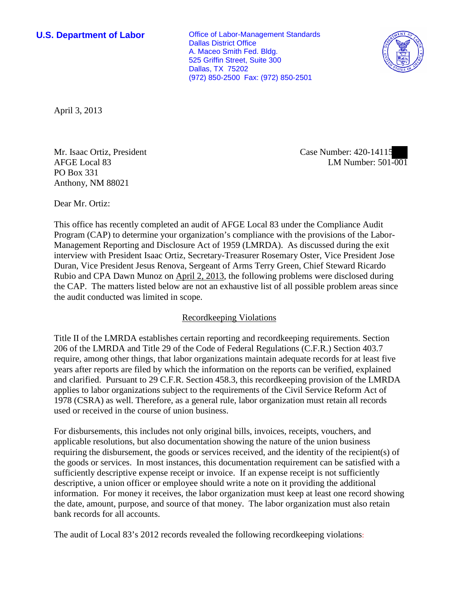**U.S. Department of Labor Office of Labor-Management Standards** Dallas District Office A. Maceo Smith Fed. Bldg. 525 Griffin Street, Suite 300 Dallas, TX 75202 (972) 850-2500 Fax: (972) 850-2501



April 3, 2013

Mr. Isaac Ortiz, President AFGE Local 83 PO Box 331 Anthony, NM 88021

Case Number: 420-14115 LM Number: 501-001

Dear Mr. Ortiz:

This office has recently completed an audit of AFGE Local 83 under the Compliance Audit Program (CAP) to determine your organization's compliance with the provisions of the Labor-Management Reporting and Disclosure Act of 1959 (LMRDA). As discussed during the exit interview with President Isaac Ortiz, Secretary-Treasurer Rosemary Oster, Vice President Jose Duran, Vice President Jesus Renova, Sergeant of Arms Terry Green, Chief Steward Ricardo Rubio and CPA Dawn Munoz on April 2, 2013, the following problems were disclosed during the CAP. The matters listed below are not an exhaustive list of all possible problem areas since the audit conducted was limited in scope.

# Recordkeeping Violations

Title II of the LMRDA establishes certain reporting and recordkeeping requirements. Section 206 of the LMRDA and Title 29 of the Code of Federal Regulations (C.F.R.) Section 403.7 require, among other things, that labor organizations maintain adequate records for at least five years after reports are filed by which the information on the reports can be verified, explained and clarified. Pursuant to 29 C.F.R. Section 458.3, this recordkeeping provision of the LMRDA applies to labor organizations subject to the requirements of the Civil Service Reform Act of 1978 (CSRA) as well. Therefore, as a general rule, labor organization must retain all records used or received in the course of union business.

For disbursements, this includes not only original bills, invoices, receipts, vouchers, and applicable resolutions, but also documentation showing the nature of the union business requiring the disbursement, the goods or services received, and the identity of the recipient(s) of the goods or services. In most instances, this documentation requirement can be satisfied with a sufficiently descriptive expense receipt or invoice. If an expense receipt is not sufficiently descriptive, a union officer or employee should write a note on it providing the additional information. For money it receives, the labor organization must keep at least one record showing the date, amount, purpose, and source of that money. The labor organization must also retain bank records for all accounts.

The audit of Local 83's 2012 records revealed the following recordkeeping violations: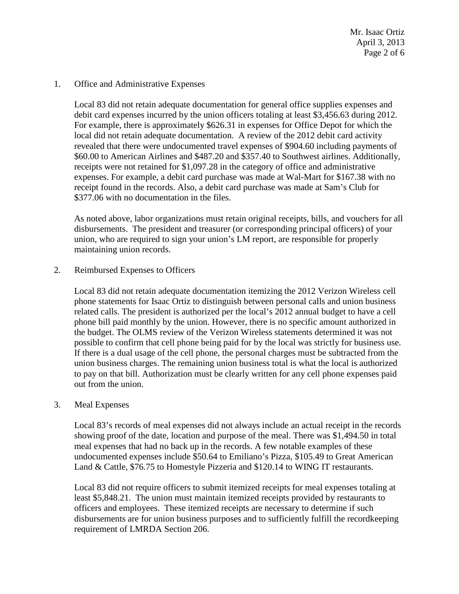Mr. Isaac Ortiz April 3, 2013 Page 2 of 6

### 1. Office and Administrative Expenses

Local 83 did not retain adequate documentation for general office supplies expenses and debit card expenses incurred by the union officers totaling at least \$3,456.63 during 2012. For example, there is approximately \$626.31 in expenses for Office Depot for which the local did not retain adequate documentation. A review of the 2012 debit card activity revealed that there were undocumented travel expenses of \$904.60 including payments of \$60.00 to American Airlines and \$487.20 and \$357.40 to Southwest airlines. Additionally, receipts were not retained for \$1,097.28 in the category of office and administrative expenses. For example, a debit card purchase was made at Wal-Mart for \$167.38 with no receipt found in the records. Also, a debit card purchase was made at Sam's Club for \$377.06 with no documentation in the files.

As noted above, labor organizations must retain original receipts, bills, and vouchers for all disbursements. The president and treasurer (or corresponding principal officers) of your union, who are required to sign your union's LM report, are responsible for properly maintaining union records.

# 2. Reimbursed Expenses to Officers

Local 83 did not retain adequate documentation itemizing the 2012 Verizon Wireless cell phone statements for Isaac Ortiz to distinguish between personal calls and union business related calls. The president is authorized per the local's 2012 annual budget to have a cell phone bill paid monthly by the union. However, there is no specific amount authorized in the budget. The OLMS review of the Verizon Wireless statements determined it was not possible to confirm that cell phone being paid for by the local was strictly for business use. If there is a dual usage of the cell phone, the personal charges must be subtracted from the union business charges. The remaining union business total is what the local is authorized to pay on that bill. Authorization must be clearly written for any cell phone expenses paid out from the union.

#### 3. Meal Expenses

Local 83's records of meal expenses did not always include an actual receipt in the records showing proof of the date, location and purpose of the meal. There was \$1,494.50 in total meal expenses that had no back up in the records. A few notable examples of these undocumented expenses include \$50.64 to Emiliano's Pizza, \$105.49 to Great American Land & Cattle, \$76.75 to Homestyle Pizzeria and \$120.14 to WING IT restaurants.

Local 83 did not require officers to submit itemized receipts for meal expenses totaling at least \$5,848.21. The union must maintain itemized receipts provided by restaurants to officers and employees. These itemized receipts are necessary to determine if such disbursements are for union business purposes and to sufficiently fulfill the recordkeeping requirement of LMRDA Section 206.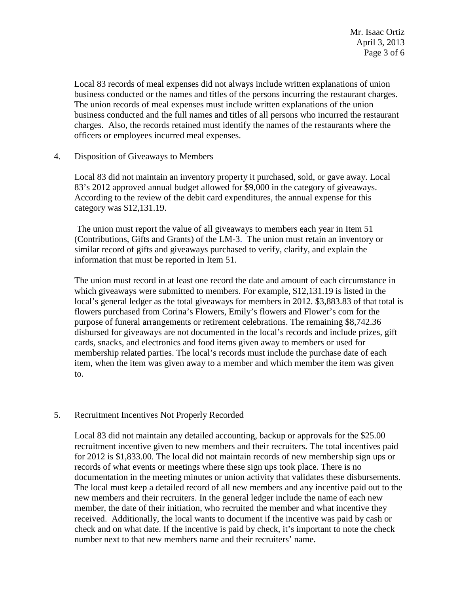Local 83 records of meal expenses did not always include written explanations of union business conducted or the names and titles of the persons incurring the restaurant charges. The union records of meal expenses must include written explanations of the union business conducted and the full names and titles of all persons who incurred the restaurant charges. Also, the records retained must identify the names of the restaurants where the officers or employees incurred meal expenses.

4. Disposition of Giveaways to Members

Local 83 did not maintain an inventory property it purchased, sold, or gave away. Local 83's 2012 approved annual budget allowed for \$9,000 in the category of giveaways. According to the review of the debit card expenditures, the annual expense for this category was \$12,131.19.

The union must report the value of all giveaways to members each year in Item 51 (Contributions, Gifts and Grants) of the LM-3. The union must retain an inventory or similar record of gifts and giveaways purchased to verify, clarify, and explain the information that must be reported in Item 51.

The union must record in at least one record the date and amount of each circumstance in which giveaways were submitted to members. For example, \$12,131.19 is listed in the local's general ledger as the total giveaways for members in 2012. \$3,883.83 of that total is flowers purchased from Corina's Flowers, Emily's flowers and Flower's com for the purpose of funeral arrangements or retirement celebrations. The remaining \$8,742.36 disbursed for giveaways are not documented in the local's records and include prizes, gift cards, snacks, and electronics and food items given away to members or used for membership related parties. The local's records must include the purchase date of each item, when the item was given away to a member and which member the item was given to.

# 5. Recruitment Incentives Not Properly Recorded

Local 83 did not maintain any detailed accounting, backup or approvals for the \$25.00 recruitment incentive given to new members and their recruiters. The total incentives paid for 2012 is \$1,833.00. The local did not maintain records of new membership sign ups or records of what events or meetings where these sign ups took place. There is no documentation in the meeting minutes or union activity that validates these disbursements. The local must keep a detailed record of all new members and any incentive paid out to the new members and their recruiters. In the general ledger include the name of each new member, the date of their initiation, who recruited the member and what incentive they received. Additionally, the local wants to document if the incentive was paid by cash or check and on what date. If the incentive is paid by check, it's important to note the check number next to that new members name and their recruiters' name.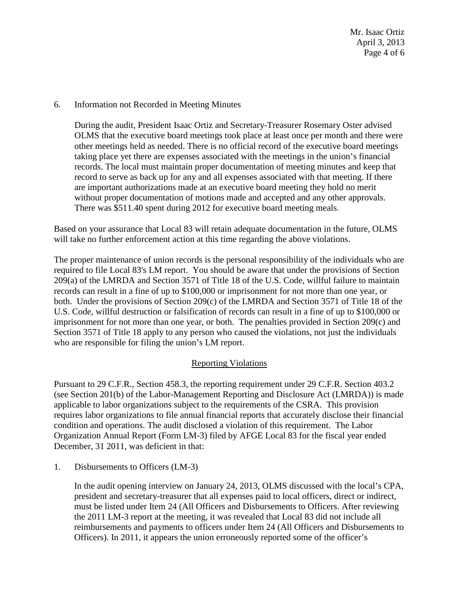Mr. Isaac Ortiz April 3, 2013 Page 4 of 6

# 6. Information not Recorded in Meeting Minutes

During the audit, President Isaac Ortiz and Secretary-Treasurer Rosemary Oster advised OLMS that the executive board meetings took place at least once per month and there were other meetings held as needed. There is no official record of the executive board meetings taking place yet there are expenses associated with the meetings in the union's financial records. The local must maintain proper documentation of meeting minutes and keep that record to serve as back up for any and all expenses associated with that meeting. If there are important authorizations made at an executive board meeting they hold no merit without proper documentation of motions made and accepted and any other approvals. There was \$511.40 spent during 2012 for executive board meeting meals.

Based on your assurance that Local 83 will retain adequate documentation in the future, OLMS will take no further enforcement action at this time regarding the above violations.

The proper maintenance of union records is the personal responsibility of the individuals who are required to file Local 83's LM report. You should be aware that under the provisions of Section 209(a) of the LMRDA and Section 3571 of Title 18 of the U.S. Code, willful failure to maintain records can result in a fine of up to \$100,000 or imprisonment for not more than one year, or both. Under the provisions of Section 209(c) of the LMRDA and Section 3571 of Title 18 of the U.S. Code, willful destruction or falsification of records can result in a fine of up to \$100,000 or imprisonment for not more than one year, or both. The penalties provided in Section 209(c) and Section 3571 of Title 18 apply to any person who caused the violations, not just the individuals who are responsible for filing the union's LM report.

# Reporting Violations

Pursuant to 29 C.F.R., Section 458.3, the reporting requirement under 29 C.F.R. Section 403.2 (see Section 201(b) of the Labor-Management Reporting and Disclosure Act (LMRDA)) is made applicable to labor organizations subject to the requirements of the CSRA. This provision requires labor organizations to file annual financial reports that accurately disclose their financial condition and operations. The audit disclosed a violation of this requirement. The Labor Organization Annual Report (Form LM-3) filed by AFGE Local 83 for the fiscal year ended December, 31 2011, was deficient in that:

1. Disbursements to Officers (LM-3)

In the audit opening interview on January 24, 2013, OLMS discussed with the local's CPA, president and secretary-treasurer that all expenses paid to local officers, direct or indirect, must be listed under Item 24 (All Officers and Disbursements to Officers. After reviewing the 2011 LM-3 report at the meeting, it was revealed that Local 83 did not include all reimbursements and payments to officers under Item 24 (All Officers and Disbursements to Officers). In 2011, it appears the union erroneously reported some of the officer's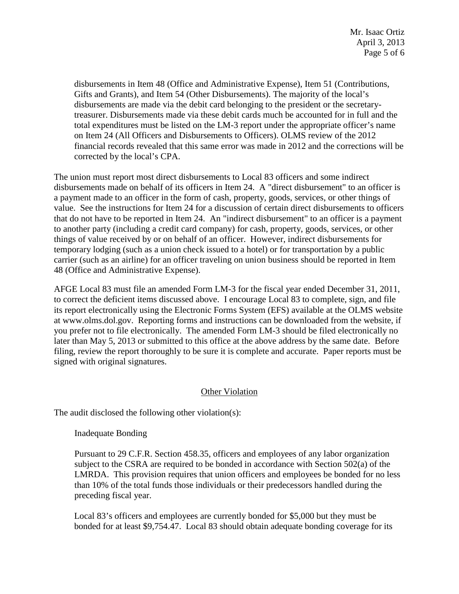disbursements in Item 48 (Office and Administrative Expense), Item 51 (Contributions, Gifts and Grants), and Item 54 (Other Disbursements). The majority of the local's disbursements are made via the debit card belonging to the president or the secretarytreasurer. Disbursements made via these debit cards much be accounted for in full and the total expenditures must be listed on the LM-3 report under the appropriate officer's name on Item 24 (All Officers and Disbursements to Officers). OLMS review of the 2012 financial records revealed that this same error was made in 2012 and the corrections will be corrected by the local's CPA.

The union must report most direct disbursements to Local 83 officers and some indirect disbursements made on behalf of its officers in Item 24. A "direct disbursement" to an officer is a payment made to an officer in the form of cash, property, goods, services, or other things of value. See the instructions for Item 24 for a discussion of certain direct disbursements to officers that do not have to be reported in Item 24. An "indirect disbursement" to an officer is a payment to another party (including a credit card company) for cash, property, goods, services, or other things of value received by or on behalf of an officer. However, indirect disbursements for temporary lodging (such as a union check issued to a hotel) or for transportation by a public carrier (such as an airline) for an officer traveling on union business should be reported in Item 48 (Office and Administrative Expense).

AFGE Local 83 must file an amended Form LM-3 for the fiscal year ended December 31, 2011, to correct the deficient items discussed above. I encourage Local 83 to complete, sign, and file its report electronically using the Electronic Forms System (EFS) available at the OLMS website at [www.olms.dol.gov.](http://www.olms.dol.gov/) Reporting forms and instructions can be downloaded from the website, if you prefer not to file electronically. The amended Form LM-3 should be filed electronically no later than May 5, 2013 or submitted to this office at the above address by the same date. Before filing, review the report thoroughly to be sure it is complete and accurate. Paper reports must be signed with original signatures.

# Other Violation

The audit disclosed the following other violation(s):

Inadequate Bonding

Pursuant to 29 C.F.R. Section 458.35, officers and employees of any labor organization subject to the CSRA are required to be bonded in accordance with Section 502(a) of the LMRDA. This provision requires that union officers and employees be bonded for no less than 10% of the total funds those individuals or their predecessors handled during the preceding fiscal year.

Local 83's officers and employees are currently bonded for \$5,000 but they must be bonded for at least \$9,754.47. Local 83 should obtain adequate bonding coverage for its